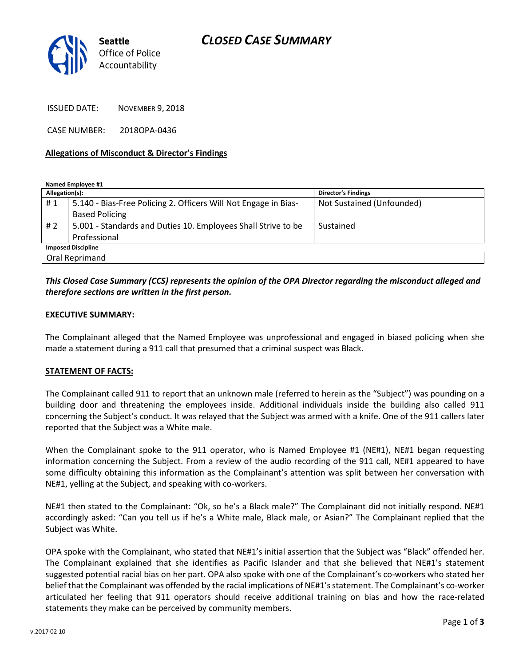

ISSUED DATE: NOVEMBER 9, 2018

CASE NUMBER: 2018OPA-0436

#### Allegations of Misconduct & Director's Findings

Named Employee #1

| Allegation(s):            |                                                                 | <b>Director's Findings</b> |
|---------------------------|-----------------------------------------------------------------|----------------------------|
| #1                        | 5.140 - Bias-Free Policing 2. Officers Will Not Engage in Bias- | Not Sustained (Unfounded)  |
|                           | <b>Based Policing</b>                                           |                            |
| # 2                       | 5.001 - Standards and Duties 10. Employees Shall Strive to be   | Sustained                  |
|                           | Professional                                                    |                            |
| <b>Imposed Discipline</b> |                                                                 |                            |
| Oral Reprimand            |                                                                 |                            |

### This Closed Case Summary (CCS) represents the opinion of the OPA Director regarding the misconduct alleged and therefore sections are written in the first person.

#### EXECUTIVE SUMMARY:

The Complainant alleged that the Named Employee was unprofessional and engaged in biased policing when she made a statement during a 911 call that presumed that a criminal suspect was Black.

### STATEMENT OF FACTS:

The Complainant called 911 to report that an unknown male (referred to herein as the "Subject") was pounding on a building door and threatening the employees inside. Additional individuals inside the building also called 911 concerning the Subject's conduct. It was relayed that the Subject was armed with a knife. One of the 911 callers later reported that the Subject was a White male.

When the Complainant spoke to the 911 operator, who is Named Employee #1 (NE#1), NE#1 began requesting information concerning the Subject. From a review of the audio recording of the 911 call, NE#1 appeared to have some difficulty obtaining this information as the Complainant's attention was split between her conversation with NE#1, yelling at the Subject, and speaking with co-workers.

NE#1 then stated to the Complainant: "Ok, so he's a Black male?" The Complainant did not initially respond. NE#1 accordingly asked: "Can you tell us if he's a White male, Black male, or Asian?" The Complainant replied that the Subject was White.

OPA spoke with the Complainant, who stated that NE#1's initial assertion that the Subject was "Black" offended her. The Complainant explained that she identifies as Pacific Islander and that she believed that NE#1's statement suggested potential racial bias on her part. OPA also spoke with one of the Complainant's co-workers who stated her belief that the Complainant was offended by the racial implications of NE#1's statement. The Complainant's co-worker articulated her feeling that 911 operators should receive additional training on bias and how the race-related statements they make can be perceived by community members.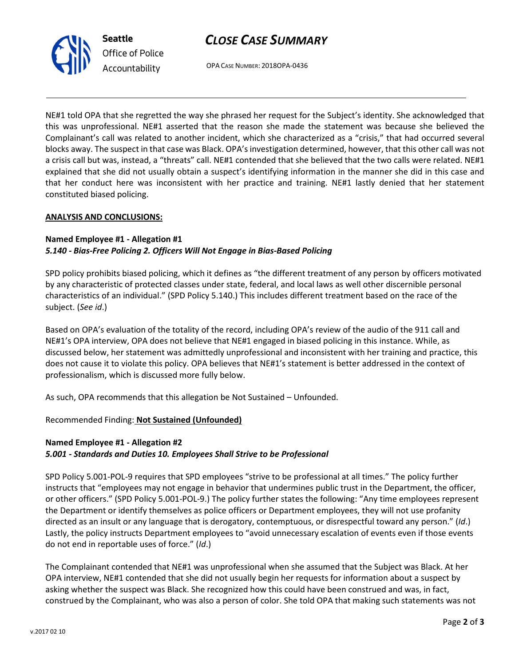## CLOSE CASE SUMMARY



Office of Police Accountability

OPA CASE NUMBER: 2018OPA-0436

NE#1 told OPA that she regretted the way she phrased her request for the Subject's identity. She acknowledged that this was unprofessional. NE#1 asserted that the reason she made the statement was because she believed the Complainant's call was related to another incident, which she characterized as a "crisis," that had occurred several blocks away. The suspect in that case was Black. OPA's investigation determined, however, that this other call was not a crisis call but was, instead, a "threats" call. NE#1 contended that she believed that the two calls were related. NE#1 explained that she did not usually obtain a suspect's identifying information in the manner she did in this case and that her conduct here was inconsistent with her practice and training. NE#1 lastly denied that her statement constituted biased policing.

### ANALYSIS AND CONCLUSIONS:

### Named Employee #1 - Allegation #1 5.140 - Bias-Free Policing 2. Officers Will Not Engage in Bias-Based Policing

SPD policy prohibits biased policing, which it defines as "the different treatment of any person by officers motivated by any characteristic of protected classes under state, federal, and local laws as well other discernible personal characteristics of an individual." (SPD Policy 5.140.) This includes different treatment based on the race of the subject. (See id.)

Based on OPA's evaluation of the totality of the record, including OPA's review of the audio of the 911 call and NE#1's OPA interview, OPA does not believe that NE#1 engaged in biased policing in this instance. While, as discussed below, her statement was admittedly unprofessional and inconsistent with her training and practice, this does not cause it to violate this policy. OPA believes that NE#1's statement is better addressed in the context of professionalism, which is discussed more fully below.

As such, OPA recommends that this allegation be Not Sustained – Unfounded.

Recommended Finding: Not Sustained (Unfounded)

### Named Employee #1 - Allegation #2 5.001 - Standards and Duties 10. Employees Shall Strive to be Professional

SPD Policy 5.001-POL-9 requires that SPD employees "strive to be professional at all times." The policy further instructs that "employees may not engage in behavior that undermines public trust in the Department, the officer, or other officers." (SPD Policy 5.001-POL-9.) The policy further states the following: "Any time employees represent the Department or identify themselves as police officers or Department employees, they will not use profanity directed as an insult or any language that is derogatory, contemptuous, or disrespectful toward any person." (Id.) Lastly, the policy instructs Department employees to "avoid unnecessary escalation of events even if those events do not end in reportable uses of force." (Id.)

The Complainant contended that NE#1 was unprofessional when she assumed that the Subject was Black. At her OPA interview, NE#1 contended that she did not usually begin her requests for information about a suspect by asking whether the suspect was Black. She recognized how this could have been construed and was, in fact, construed by the Complainant, who was also a person of color. She told OPA that making such statements was not